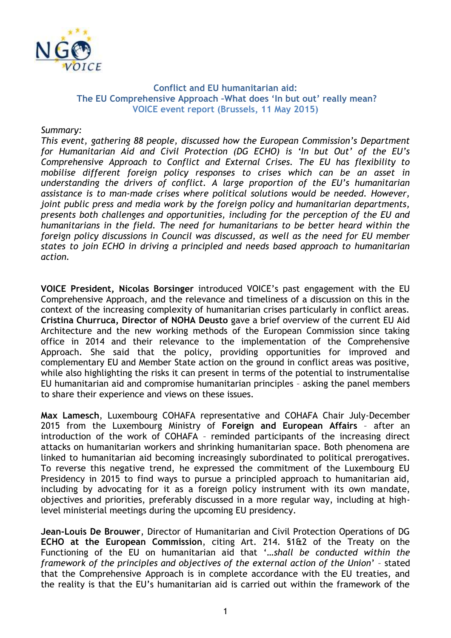

## **Conflict and EU humanitarian aid: The EU Comprehensive Approach –What does 'In but out' really mean? VOICE event report (Brussels, 11 May 2015)**

*Summary:*

*This event, gathering 88 people, discussed how the European Commission's Department for Humanitarian Aid and Civil Protection (DG ECHO) is 'In but Out' of the EU's Comprehensive Approach to Conflict and External Crises. The EU has flexibility to mobilise different foreign policy responses to crises which can be an asset in understanding the drivers of conflict. A large proportion of the EU's humanitarian assistance is to man-made crises where political solutions would be needed. However, joint public press and media work by the foreign policy and humanitarian departments, presents both challenges and opportunities, including for the perception of the EU and humanitarians in the field. The need for humanitarians to be better heard within the foreign policy discussions in Council was discussed, as well as the need for EU member states to join ECHO in driving a principled and needs based approach to humanitarian action.* 

**VOICE President, Nicolas Borsinger** introduced VOICE's past engagement with the EU Comprehensive Approach, and the relevance and timeliness of a discussion on this in the context of the increasing complexity of humanitarian crises particularly in conflict areas. **Cristina Churruca, Director of NOHA Deusto** gave a brief overview of the current EU Aid Architecture and the new working methods of the European Commission since taking office in 2014 and their relevance to the implementation of the Comprehensive Approach. She said that the policy, providing opportunities for improved and complementary EU and Member State action on the ground in conflict areas was positive, while also highlighting the risks it can present in terms of the potential to instrumentalise EU humanitarian aid and compromise humanitarian principles – asking the panel members to share their experience and views on these issues.

**Max Lamesch**, Luxembourg COHAFA representative and COHAFA Chair July-December 2015 from the Luxembourg Ministry of **Foreign and European Affairs** – after an introduction of the work of COHAFA – reminded participants of the increasing direct attacks on humanitarian workers and shrinking humanitarian space. Both phenomena are linked to humanitarian aid becoming increasingly subordinated to political prerogatives. To reverse this negative trend, he expressed the commitment of the Luxembourg EU Presidency in 2015 to find ways to pursue a principled approach to humanitarian aid, including by advocating for it as a foreign policy instrument with its own mandate, objectives and priorities, preferably discussed in a more regular way, including at highlevel ministerial meetings during the upcoming EU presidency.

**Jean-Louis De Brouwer**, Director of Humanitarian and Civil Protection Operations of DG **ECHO at the European Commission**, citing Art. 214. §1&2 of the Treaty on the Functioning of the EU on humanitarian aid that '…*shall be conducted within the framework of the principles and objectives of the external action of the Union*' – stated that the Comprehensive Approach is in complete accordance with the EU treaties, and the reality is that the EU's humanitarian aid is carried out within the framework of the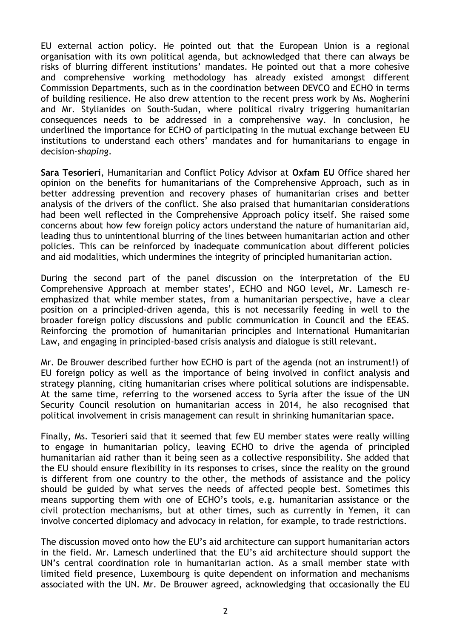EU external action policy. He pointed out that the European Union is a regional organisation with its own political agenda, but acknowledged that there can always be risks of blurring different institutions' mandates. He pointed out that a more cohesive and comprehensive working methodology has already existed amongst different Commission Departments, such as in the coordination between DEVCO and ECHO in terms of building resilience. He also drew attention to the recent press work by Ms. Mogherini and Mr. Stylianides on South-Sudan, where political rivalry triggering humanitarian consequences needs to be addressed in a comprehensive way. In conclusion, he underlined the importance for ECHO of participating in the mutual exchange between EU institutions to understand each others' mandates and for humanitarians to engage in decision-*shaping*.

**Sara Tesorieri**, Humanitarian and Conflict Policy Advisor at **Oxfam EU** Office shared her opinion on the benefits for humanitarians of the Comprehensive Approach, such as in better addressing prevention and recovery phases of humanitarian crises and better analysis of the drivers of the conflict. She also praised that humanitarian considerations had been well reflected in the Comprehensive Approach policy itself. She raised some concerns about how few foreign policy actors understand the nature of humanitarian aid, leading thus to unintentional blurring of the lines between humanitarian action and other policies. This can be reinforced by inadequate communication about different policies and aid modalities, which undermines the integrity of principled humanitarian action.

During the second part of the panel discussion on the interpretation of the EU Comprehensive Approach at member states', ECHO and NGO level, Mr. Lamesch reemphasized that while member states, from a humanitarian perspective, have a clear position on a principled-driven agenda, this is not necessarily feeding in well to the broader foreign policy discussions and public communication in Council and the EEAS. Reinforcing the promotion of humanitarian principles and International Humanitarian Law, and engaging in principled-based crisis analysis and dialogue is still relevant.

Mr. De Brouwer described further how ECHO is part of the agenda (not an instrument!) of EU foreign policy as well as the importance of being involved in conflict analysis and strategy planning, citing humanitarian crises where political solutions are indispensable. At the same time, referring to the worsened access to Syria after the issue of the UN Security Council resolution on humanitarian access in 2014, he also recognised that political involvement in crisis management can result in shrinking humanitarian space.

Finally, Ms. Tesorieri said that it seemed that few EU member states were really willing to engage in humanitarian policy, leaving ECHO to drive the agenda of principled humanitarian aid rather than it being seen as a collective responsibility. She added that the EU should ensure flexibility in its responses to crises, since the reality on the ground is different from one country to the other, the methods of assistance and the policy should be guided by what serves the needs of affected people best. Sometimes this means supporting them with one of ECHO's tools, e.g. humanitarian assistance or the civil protection mechanisms, but at other times, such as currently in Yemen, it can involve concerted diplomacy and advocacy in relation, for example, to trade restrictions.

The discussion moved onto how the EU's aid architecture can support humanitarian actors in the field. Mr. Lamesch underlined that the EU's aid architecture should support the UN's central coordination role in humanitarian action. As a small member state with limited field presence, Luxembourg is quite dependent on information and mechanisms associated with the UN. Mr. De Brouwer agreed, acknowledging that occasionally the EU